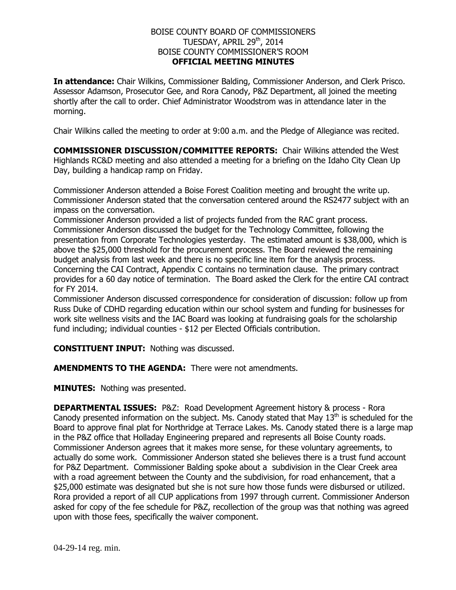## BOISE COUNTY BOARD OF COMMISSIONERS TUESDAY, APRIL 29<sup>th</sup>, 2014 BOISE COUNTY COMMISSIONER'S ROOM **OFFICIAL MEETING MINUTES**

**In attendance:** Chair Wilkins, Commissioner Balding, Commissioner Anderson, and Clerk Prisco. Assessor Adamson, Prosecutor Gee, and Rora Canody, P&Z Department, all joined the meeting shortly after the call to order. Chief Administrator Woodstrom was in attendance later in the morning.

Chair Wilkins called the meeting to order at 9:00 a.m. and the Pledge of Allegiance was recited.

**COMMISSIONER DISCUSSION/COMMITTEE REPORTS:** Chair Wilkins attended the West Highlands RC&D meeting and also attended a meeting for a briefing on the Idaho City Clean Up Day, building a handicap ramp on Friday.

Commissioner Anderson attended a Boise Forest Coalition meeting and brought the write up. Commissioner Anderson stated that the conversation centered around the RS2477 subject with an impass on the conversation.

Commissioner Anderson provided a list of projects funded from the RAC grant process. Commissioner Anderson discussed the budget for the Technology Committee, following the presentation from Corporate Technologies yesterday. The estimated amount is \$38,000, which is above the \$25,000 threshold for the procurement process. The Board reviewed the remaining budget analysis from last week and there is no specific line item for the analysis process. Concerning the CAI Contract, Appendix C contains no termination clause. The primary contract provides for a 60 day notice of termination. The Board asked the Clerk for the entire CAI contract for FY 2014.

Commissioner Anderson discussed correspondence for consideration of discussion: follow up from Russ Duke of CDHD regarding education within our school system and funding for businesses for work site wellness visits and the IAC Board was looking at fundraising goals for the scholarship fund including; individual counties - \$12 per Elected Officials contribution.

**CONSTITUENT INPUT:** Nothing was discussed.

**AMENDMENTS TO THE AGENDA:** There were not amendments.

**MINUTES:** Nothing was presented.

**DEPARTMENTAL ISSUES:** P&Z: Road Development Agreement history & process - Rora Canody presented information on the subject. Ms. Canody stated that May  $13<sup>th</sup>$  is scheduled for the Board to approve final plat for Northridge at Terrace Lakes. Ms. Canody stated there is a large map in the P&Z office that Holladay Engineering prepared and represents all Boise County roads. Commissioner Anderson agrees that it makes more sense, for these voluntary agreements, to actually do some work. Commissioner Anderson stated she believes there is a trust fund account for P&Z Department. Commissioner Balding spoke about a subdivision in the Clear Creek area with a road agreement between the County and the subdivision, for road enhancement, that a \$25,000 estimate was designated but she is not sure how those funds were disbursed or utilized. Rora provided a report of all CUP applications from 1997 through current. Commissioner Anderson asked for copy of the fee schedule for P&Z, recollection of the group was that nothing was agreed upon with those fees, specifically the waiver component.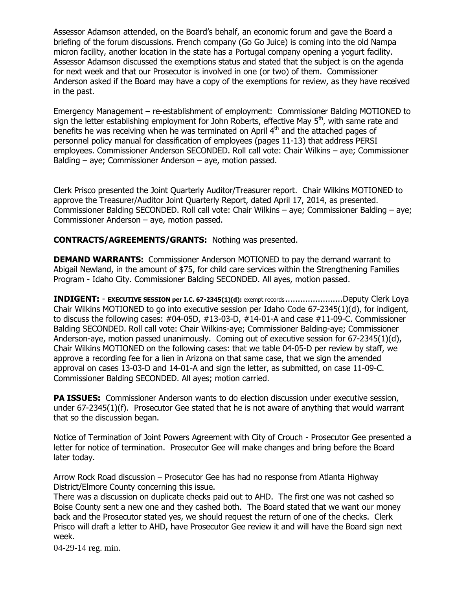Assessor Adamson attended, on the Board's behalf, an economic forum and gave the Board a briefing of the forum discussions. French company (Go Go Juice) is coming into the old Nampa micron facility, another location in the state has a Portugal company opening a yogurt facility. Assessor Adamson discussed the exemptions status and stated that the subject is on the agenda for next week and that our Prosecutor is involved in one (or two) of them. Commissioner Anderson asked if the Board may have a copy of the exemptions for review, as they have received in the past.

Emergency Management – re-establishment of employment: Commissioner Balding MOTIONED to sign the letter establishing employment for John Roberts, effective May 5<sup>th</sup>, with same rate and benefits he was receiving when he was terminated on April  $4<sup>th</sup>$  and the attached pages of personnel policy manual for classification of employees (pages 11-13) that address PERSI employees. Commissioner Anderson SECONDED. Roll call vote: Chair Wilkins – aye; Commissioner Balding – aye; Commissioner Anderson – aye, motion passed.

Clerk Prisco presented the Joint Quarterly Auditor/Treasurer report. Chair Wilkins MOTIONED to approve the Treasurer/Auditor Joint Quarterly Report, dated April 17, 2014, as presented. Commissioner Balding SECONDED. Roll call vote: Chair Wilkins – aye; Commissioner Balding – aye; Commissioner Anderson – aye, motion passed.

**CONTRACTS/AGREEMENTS/GRANTS:** Nothing was presented.

**DEMAND WARRANTS:** Commissioner Anderson MOTIONED to pay the demand warrant to Abigail Newland, in the amount of \$75, for child care services within the Strengthening Families Program - Idaho City. Commissioner Balding SECONDED. All ayes, motion passed.

**INDIGENT:** - **EXECUTIVE SESSION per I.C. 67-2345(1)(d):** exempt records .......................Deputy Clerk Loya Chair Wilkins MOTIONED to go into executive session per Idaho Code 67-2345(1)(d), for indigent, to discuss the following cases: #04-05D, #13-03-D, #14-01-A and case #11-09-C. Commissioner Balding SECONDED. Roll call vote: Chair Wilkins-aye; Commissioner Balding-aye; Commissioner Anderson-aye, motion passed unanimously. Coming out of executive session for 67-2345(1)(d), Chair Wilkins MOTIONED on the following cases: that we table 04-05-D per review by staff, we approve a recording fee for a lien in Arizona on that same case, that we sign the amended approval on cases 13-03-D and 14-01-A and sign the letter, as submitted, on case 11-09-C. Commissioner Balding SECONDED. All ayes; motion carried.

**PA ISSUES:** Commissioner Anderson wants to do election discussion under executive session, under 67-2345(1)(f). Prosecutor Gee stated that he is not aware of anything that would warrant that so the discussion began.

Notice of Termination of Joint Powers Agreement with City of Crouch - Prosecutor Gee presented a letter for notice of termination. Prosecutor Gee will make changes and bring before the Board later today.

Arrow Rock Road discussion – Prosecutor Gee has had no response from Atlanta Highway District/Elmore County concerning this issue.

There was a discussion on duplicate checks paid out to AHD. The first one was not cashed so Boise County sent a new one and they cashed both. The Board stated that we want our money back and the Prosecutor stated yes, we should request the return of one of the checks. Clerk Prisco will draft a letter to AHD, have Prosecutor Gee review it and will have the Board sign next week.

04-29-14 reg. min.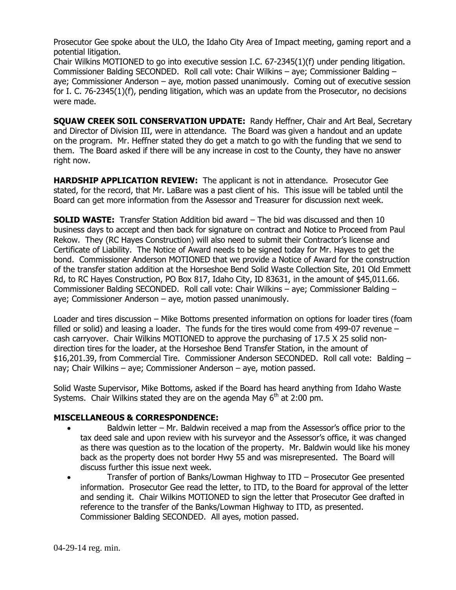Prosecutor Gee spoke about the ULO, the Idaho City Area of Impact meeting, gaming report and a potential litigation.

Chair Wilkins MOTIONED to go into executive session I.C. 67-2345(1)(f) under pending litigation. Commissioner Balding SECONDED. Roll call vote: Chair Wilkins – aye; Commissioner Balding – aye; Commissioner Anderson – aye, motion passed unanimously. Coming out of executive session for I. C. 76-2345(1)(f), pending litigation, which was an update from the Prosecutor, no decisions were made.

**SQUAW CREEK SOIL CONSERVATION UPDATE:** Randy Heffner, Chair and Art Beal, Secretary and Director of Division III, were in attendance. The Board was given a handout and an update on the program. Mr. Heffner stated they do get a match to go with the funding that we send to them. The Board asked if there will be any increase in cost to the County, they have no answer right now.

**HARDSHIP APPLICATION REVIEW:** The applicant is not in attendance. Prosecutor Gee stated, for the record, that Mr. LaBare was a past client of his. This issue will be tabled until the Board can get more information from the Assessor and Treasurer for discussion next week.

**SOLID WASTE:** Transfer Station Addition bid award – The bid was discussed and then 10 business days to accept and then back for signature on contract and Notice to Proceed from Paul Rekow. They (RC Hayes Construction) will also need to submit their Contractor's license and Certificate of Liability. The Notice of Award needs to be signed today for Mr. Hayes to get the bond. Commissioner Anderson MOTIONED that we provide a Notice of Award for the construction of the transfer station addition at the Horseshoe Bend Solid Waste Collection Site, 201 Old Emmett Rd, to RC Hayes Construction, PO Box 817, Idaho City, ID 83631, in the amount of \$45,011.66. Commissioner Balding SECONDED. Roll call vote: Chair Wilkins – aye; Commissioner Balding – aye; Commissioner Anderson – aye, motion passed unanimously.

Loader and tires discussion – Mike Bottoms presented information on options for loader tires (foam filled or solid) and leasing a loader. The funds for the tires would come from 499-07 revenue – cash carryover. Chair Wilkins MOTIONED to approve the purchasing of 17.5 X 25 solid nondirection tires for the loader, at the Horseshoe Bend Transfer Station, in the amount of \$16,201.39, from Commercial Tire. Commissioner Anderson SECONDED. Roll call vote: Balding – nay; Chair Wilkins – aye; Commissioner Anderson – aye, motion passed.

Solid Waste Supervisor, Mike Bottoms, asked if the Board has heard anything from Idaho Waste Systems. Chair Wilkins stated they are on the agenda May  $6<sup>th</sup>$  at 2:00 pm.

## **MISCELLANEOUS & CORRESPONDENCE:**

- Baldwin letter Mr. Baldwin received a map from the Assessor's office prior to the tax deed sale and upon review with his surveyor and the Assessor's office, it was changed as there was question as to the location of the property. Mr. Baldwin would like his money back as the property does not border Hwy 55 and was misrepresented. The Board will discuss further this issue next week.
- Transfer of portion of Banks/Lowman Highway to ITD Prosecutor Gee presented information. Prosecutor Gee read the letter, to ITD, to the Board for approval of the letter and sending it. Chair Wilkins MOTIONED to sign the letter that Prosecutor Gee drafted in reference to the transfer of the Banks/Lowman Highway to ITD, as presented. Commissioner Balding SECONDED. All ayes, motion passed.